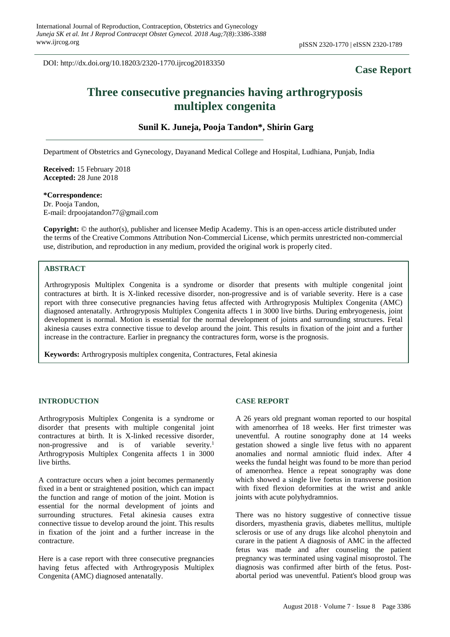DOI: http://dx.doi.org/10.18203/2320-1770.ijrcog20183350

# **Case Report**

# **Three consecutive pregnancies having arthrogryposis multiplex congenita**

## **Sunil K. Juneja, Pooja Tandon\*, Shirin Garg**

Department of Obstetrics and Gynecology, Dayanand Medical College and Hospital, Ludhiana, Punjab, India

**Received:** 15 February 2018 **Accepted:** 28 June 2018

#### **\*Correspondence:**

Dr. Pooja Tandon, E-mail: drpoojatandon77@gmail.com

**Copyright:** © the author(s), publisher and licensee Medip Academy. This is an open-access article distributed under the terms of the Creative Commons Attribution Non-Commercial License, which permits unrestricted non-commercial use, distribution, and reproduction in any medium, provided the original work is properly cited.

### **ABSTRACT**

Arthrogryposis Multiplex Congenita is a syndrome or disorder that presents with multiple congenital joint contractures at birth. It is X-linked recessive disorder, non-progressive and is of variable severity. Here is a case report with three consecutive pregnancies having fetus affected with Arthrogryposis Multiplex Congenita (AMC) diagnosed antenatally. Arthrogryposis Multiplex Congenita affects 1 in 3000 live births. During embryogenesis, joint development is normal. Motion is essential for the normal development of joints and surrounding structures. Fetal akinesia causes extra connective tissue to develop around the joint. This results in fixation of the joint and a further increase in the contracture. Earlier in pregnancy the contractures form, worse is the prognosis.

**Keywords:** Arthrogryposis multiplex congenita, Contractures, Fetal akinesia

#### **INTRODUCTION**

Arthrogryposis Multiplex Congenita is a syndrome or disorder that presents with multiple congenital joint contractures at birth. It is X-linked recessive disorder, non-progressive and is of variable severity. 1 Arthrogryposis Multiplex Congenita affects 1 in 3000 live births.

A contracture occurs when a joint becomes permanently fixed in a bent or straightened position, which can impact the function and range of motion of the joint. Motion is essential for the normal development of joints and surrounding structures. Fetal akinesia causes extra connective tissue to develop around the joint. This results in fixation of the joint and a further increase in the contracture.

Here is a case report with three consecutive pregnancies having fetus affected with Arthrogryposis Multiplex Congenita (AMC) diagnosed antenatally.

#### **CASE REPORT**

A 26 years old pregnant woman reported to our hospital with amenorrhea of 18 weeks. Her first trimester was uneventful. A routine sonography done at 14 weeks gestation showed a single live fetus with no apparent anomalies and normal amniotic fluid index. After 4 weeks the fundal height was found to be more than period of amenorrhea. Hence a repeat sonography was done which showed a single live foetus in transverse position with fixed flexion deformities at the wrist and ankle joints with acute polyhydramnios.

There was no history suggestive of connective tissue disorders, myasthenia gravis, diabetes mellitus, multiple sclerosis or use of any drugs like alcohol phenytoin and curare in the patient A diagnosis of AMC in the affected fetus was made and after counseling the patient pregnancy was terminated using vaginal misoprostol. The diagnosis was confirmed after birth of the fetus. Postabortal period was uneventful. Patient's blood group was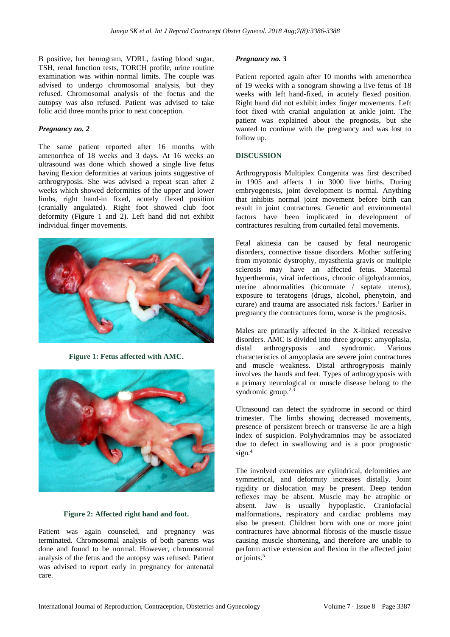B positive, her hemogram, VDRL, fasting blood sugar, TSH, renal function tests, TORCH profile, urine routine examination was within normal limits. The couple was advised to undergo chromosomal analysis, but they refused. Chromosomal analysis of the foetus and the autopsy was also refused. Patient was advised to take folic acid three months prior to next conception.

#### *Pregnancy no. 2*

The same patient reported after 16 months with amenorrhea of 18 weeks and 3 days. At 16 weeks an ultrasound was done which showed a single live fetus having flexion deformities at various joints suggestive of arthrogryposis. She was advised a repeat scan after 2 weeks which showed deformities of the upper and lower limbs, right hand-in fixed, acutely flexed position (cranially angulated). Right foot showed club foot deformity (Figure 1 and 2). Left hand did not exhibit individual finger movements.



**Figure 1: Fetus affected with AMC.**



**Figure 2: Affected right hand and foot.**

Patient was again counseled, and pregnancy was terminated. Chromosomal analysis of both parents was done and found to be normal. However, chromosomal analysis of the fetus and the autopsy was refused. Patient was advised to report early in pregnancy for antenatal care.

#### *Pregnancy no. 3*

Patient reported again after 10 months with amenorrhea of 19 weeks with a sonogram showing a live fetus of 18 weeks with left hand-fixed, in acutely flexed position. Right hand did not exhibit index finger movements. Left foot fixed with cranial angulation at ankle joint. The patient was explained about the prognosis, but she wanted to continue with the pregnancy and was lost to follow up.

#### **DISCUSSION**

Arthrogryposis Multiplex Congenita was first described in 1905 and affects 1 in 3000 live births. During embryogenesis, joint development is normal. Anything that inhibits normal joint movement before birth can result in joint contractures. Genetic and environmental factors have been implicated in development of contractures resulting from curtailed fetal movements.

Fetal akinesia can be caused by fetal neurogenic disorders, connective tissue disorders. Mother suffering from myotonic dystrophy, myasthenia gravis or multiple sclerosis may have an affected fetus. Maternal hyperthermia, viral infections, chronic oligohydramnios, uterine abnormalities (bicornuate / septate uterus), exposure to teratogens (drugs, alcohol, phenytoin, and curare) and trauma are associated risk factors. <sup>1</sup> Earlier in pregnancy the contractures form, worse is the prognosis.

Males are primarily affected in the X-linked recessive disorders. AMC is divided into three groups: amyoplasia, distal arthrogryposis and syndromic. Various characteristics of amyoplasia are severe joint contractures and muscle weakness. Distal arthrogryposis mainly involves the hands and feet. Types of arthrogryposis with a primary neurological or muscle disease belong to the syndromic group.<sup>2,3</sup>

Ultrasound can detect the syndrome in second or third trimester. The limbs showing decreased movements, presence of persistent breech or transverse lie are a high index of suspicion. Polyhydramnios may be associated due to defect in swallowing and is a poor prognostic sign. 4

The involved extremities are cylindrical, deformities are symmetrical, and deformity increases distally. Joint rigidity or dislocation may be present. Deep tendon reflexes may be absent. Muscle may be atrophic or absent. Jaw is usually hypoplastic. Craniofacial malformations, respiratory and cardiac problems may also be present. Children born with one or more joint contractures have abnormal fibrosis of the muscle tissue causing muscle shortening, and therefore are unable to perform active extension and flexion in the affected joint or joints.<sup>5</sup>